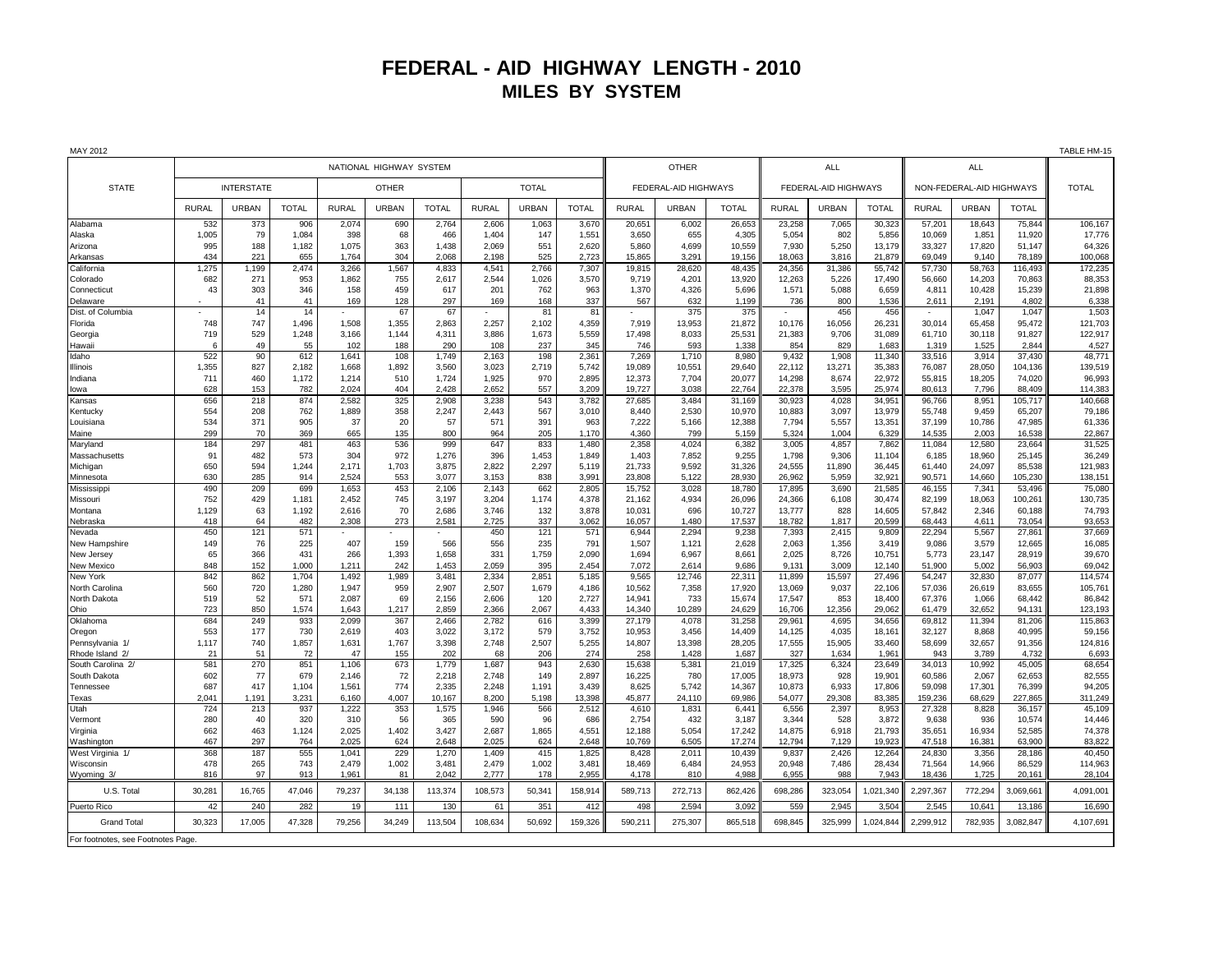## **FEDERAL - AID HIGHWAY LENGTH - 2010 MILES BY SYSTEM**

| MAY 2012                           |                         |              |              |                |              |                |                |              |                |                      |                 |                  |                      |                 |                  |                          |                  |                   | TABLE HM-15        |
|------------------------------------|-------------------------|--------------|--------------|----------------|--------------|----------------|----------------|--------------|----------------|----------------------|-----------------|------------------|----------------------|-----------------|------------------|--------------------------|------------------|-------------------|--------------------|
|                                    | NATIONAL HIGHWAY SYSTEM |              |              |                |              |                |                | OTHER        |                |                      | <b>ALL</b>      |                  |                      | <b>ALL</b>      |                  |                          |                  |                   |                    |
| <b>STATE</b>                       | <b>INTERSTATE</b>       |              |              | <b>OTHER</b>   |              |                | <b>TOTAL</b>   |              |                | FEDERAL-AID HIGHWAYS |                 |                  | FEDERAL-AID HIGHWAYS |                 |                  | NON-FEDERAL-AID HIGHWAYS |                  |                   | <b>TOTAL</b>       |
|                                    | RURAL                   | <b>URBAN</b> | <b>TOTAL</b> | <b>RURAL</b>   | <b>URBAN</b> | <b>TOTAL</b>   | RURAL          | <b>URBAN</b> | <b>TOTAL</b>   | RURAL                | <b>URBAN</b>    | <b>TOTAL</b>     | <b>RURAL</b>         | URBAN           | <b>TOTAL</b>     | <b>RURAL</b>             | <b>URBAN</b>     | <b>TOTAL</b>      |                    |
| Alabama                            | 532                     | 373          | 906          | 2,074          | 690          | 2,764          | 2,606          | 1,063        | 3,670          | 20,651               | 6,002           | 26,653           | 23,258               | 7,065           | 30,323           | 57,201                   | 18,643           | 75,844            | 106,167            |
| Alaska                             | 1,005                   | 79           | 1,084        | 398            | 68           | 466            | 1,404          | 147          | 1,551          | 3,650                | 655             | 4,305            | 5,054                | 802             | 5,856            | 10,069                   | 1,851            | 11,920            | 17,776             |
| Arizona                            | 995                     | 188          | 1,182        | 1,075          | 363          | 1,438          | 2,069          | 551          | 2,620          | 5,860                | 4,699           | 10,559           | 7,930                | 5,250           | 13,179           | 33,327                   | 17,820           | 51,147            | 64,326             |
| Arkansas<br>California             | 434<br>1,275            | 221<br>1,199 | 655<br>2.474 | 1,764<br>3,266 | 304<br>1,567 | 2.068<br>4,833 | 2,198<br>4,541 | 525<br>2,766 | 2,723<br>7,307 | 15.865<br>19,815     | 3,291<br>28,620 | 19.156<br>48,435 | 18,063<br>24,356     | 3.816<br>31,386 | 21.879<br>55,742 | 69.049<br>57,730         | 9.140<br>58.763  | 78.189<br>116,493 | 100,068<br>172,235 |
| Colorado                           | 682                     | 271          | 953          | 1,862          | 755          | 2,617          | 2,544          | 1,026        | 3,570          | 9.719                | 4,201           | 13,920           | 12,263               | 5,226           | 17,490           | 56,660                   | 14,203           | 70,863            | 88,353             |
| Connecticut                        | 43                      | 303          | 346          | 158            | 459          | 617            | 201            | 762          | 963            | 1.370                | 4,326           | 5,696            | 1,571                | 5,088           | 6,659            | 4.811                    | 10,428           | 15,239            | 21,898             |
| Delaware                           |                         | 41           | 41           | 169            | 128          | 297            | 169            | 168          | 337            | 567                  | 632             | 1,199            | 736                  | 800             | 1,536            | 2,611                    | 2,191            | 4,802             | 6,338              |
| Dist. of Columbia                  |                         | 14           | 14           |                | 67           | 67             |                | 81           | 81             |                      | 375             | 375              | $\sim$               | 456             | 456              |                          | 1,047            | 1,047             | 1,503              |
| Florida                            | 748                     | 747          | 1,496        | 1,508          | 1,355        | 2,863          | 2,257          | 2,102        | 4,359          | 7,919                | 13,953          | 21,872           | 10,176               | 16,056          | 26,231           | 30,014                   | 65,458           | 95,472            | 121,703            |
| Georgia                            | 719                     | 529          | 1,248        | 3,166          | 1,144        | 4,311          | 3,886          | 1,673        | 5,559          | 17,498               | 8,033           | 25,531           | 21,383               | 9,706           | 31,089           | 61,710                   | 30,118           | 91,827            | 122,917            |
| Hawaii                             | 6                       | 49           | 55           | 102            | 188          | 290            | 108            | 237          | 345            | 746                  | 593             | 1,338            | 854                  | 829             | 1,683            | 1,319                    | 1,525            | 2,844             | 4,527              |
| Idaho                              | 522                     | 90           | 612          | 1,641          | 108          | 1,749          | 2,163          | 198          | 2,361          | 7,269                | 1,710           | 8,980            | 9,432                | 1,908           | 11,340           | 33,516                   | 3,914            | 37,430            | 48,771             |
| Illinois                           | 1,355                   | 827          | 2.182        | 1.668          | 1.892        | 3.560          | 3.023          | 2.719        | 5.742          | 19.089               | 10,551          | 29,640           | 22.112               | 13.271          | 35,383           | 76.087                   | 28.050           | 104.136           | 139,519            |
| Indiana                            | 711                     | 460          | 1,172        | 1,214          | 510          | 1,724          | 1,925          | 970          | 2,895          | 12,373               | 7,704           | 20,077           | 14,298               | 8,674           | 22,972           | 55,815                   | 18,205           | 74,020            | 96,993             |
| lowa                               | 628                     | 153          | 782          | 2,024          | 404          | 2,428          | 2,652          | 557          | 3,209          | 19,727               | 3,038           | 22,764           | 22,378               | 3,595           | 25,974           | 80,613                   | 7,796            | 88,409            | 114,383            |
| Kansas                             | 656                     | 218          | 874          | 2,582          | 325          | 2,908          | 3,238          | 543          | 3,782          | 27,685               | 3,484           | 31,169           | 30,923               | 4,028           | 34,951           | 96,766                   | 8,951            | 105,717           | 140,668            |
| Kentucky                           | 554                     | 208          | 762          | 1,889          | 358          | 2,247          | 2,443          | 567          | 3,010          | 8,440                | 2,530           | 10,970           | 10,883               | 3,097           | 13,979           | 55,748                   | 9,459            | 65,207            | 79,186             |
| Louisiana                          | 534                     | 371          | 905          | 37             | 20           | 57             | 571            | 391          | 963            | 7,222                | 5,166           | 12,388           | 7,794                | 5,557           | 13,351           | 37,199                   | 10,786           | 47,985            | 61,336             |
| Maine                              | 299                     | 70           | 369          | 665            | 135          | 800            | 964            | 205          | 1,170          | 4.360                | 799             | 5,159            | 5.324                | 1.004           | 6.329            | 14.535                   | 2.003            | 16.538            | 22,867             |
| Maryland                           | 184                     | 297          | 481          | 463            | 536          | 999            | 647            | 833          | 1,480          | 2.358                | 4,024           | 6,382            | 3.005                | 4,857           | 7,862            | 11,084                   | 12,580           | 23.664            | 31,525             |
| Massachusetts                      | 91                      | 482          | 573          | 304            | 972          | 1,276          | 396            | 1,453        | 1,849          | 1,403                | 7,852           | 9,255            | 1,798                | 9,306           | 11,104           | 6,185                    | 18,960           | 25,145            | 36,249             |
| Michigan                           | 650                     | 594          | 1,244        | 2,171          | 1,703        | 3,875          | 2,822          | 2,297        | 5,119          | 21,733               | 9,592           | 31,326           | 24,555               | 11.890          | 36,445           | 61,440                   | 24,097           | 85.538            | 121,983            |
| Minnesota                          | 630                     | 285          | 914          | 2,524          | 553          | 3,077          | 3,153          | 838          | 3,991          | 23,808               | 5,122           | 28,930           | 26,962               | 5,959           | 32,921           | 90,571                   | 14,660           | 105,230           | 138,151            |
| Mississippi                        | 490<br>752              | 209<br>429   | 699<br>1.181 | 1,653<br>2,452 | 453<br>745   | 2,106<br>3.197 | 2,143<br>3,204 | 662<br>1.174 | 2,805<br>4,378 | 15,752<br>21.162     | 3,028<br>4,934  | 18,780<br>26,096 | 17,895<br>24,366     | 3,690<br>6.108  | 21,585<br>30,474 | 46,155<br>82.199         | 7,341            | 53,496<br>100.261 | 75,080             |
| Missouri<br>Montana                | 1,129                   | 63           | 1,192        | 2,616          | 70           | 2.686          | 3,746          | 132          | 3,878          | 10,031               | 696             | 10,727           | 13,777               | 828             | 14,605           | 57,842                   | 18,063<br>2,346  | 60,188            | 130,735<br>74,793  |
| Nebraska                           | 418                     | 64           | 482          | 2,308          | 273          | 2,581          | 2,725          | 337          | 3,062          | 16,057               | 1,480           | 17,537           | 18,782               | 1,817           | 20,599           | 68.443                   | 4,611            | 73,054            | 93,653             |
| Nevada                             | 450                     | 121          | 571          |                |              |                | 450            | 121          | 571            | 6,944                | 2,294           | 9,238            | 7,393                | 2,415           | 9,809            | 22,294                   | 5,567            | 27,861            | 37,669             |
| New Hampshire                      | 149                     | 76           | 225          | 407            | 159          | 566            | 556            | 235          | 791            | 1,507                | 1,121           | 2,628            | 2,063                | 1,356           | 3,419            | 9,086                    | 3,579            | 12,665            | 16,085             |
| New Jersey                         | 65                      | 366          | 431          | 266            | 1,393        | 1,658          | 331            | 1,759        | 2,090          | 1,694                | 6,967           | 8,661            | 2,025                | 8,726           | 10,751           | 5,773                    | 23,147           | 28,919            | 39,670             |
| New Mexico                         | 848                     | 152          | 1,000        | 1,211          | 242          | 1,453          | 2,059          | 395          | 2,454          | 7,072                | 2,614           | 9,686            | 9,131                | 3,009           | 12,140           | 51,900                   | 5,002            | 56,903            | 69,042             |
| New York                           | 842                     | 862          | 1,704        | 1,492          | 1,989        | 3,481          | 2,334          | 2,851        | 5,185          | 9.565                | 12,746          | 22,311           | 11,899               | 15,597          | 27,496           | 54,247                   | 32,830           | 87,077            | 114,574            |
| North Carolina                     | 560                     | 720          | 1,280        | 1,947          | 959          | 2,907          | 2,507          | 1,679        | 4,186          | 10,562               | 7,358           | 17,920           | 13,069               | 9,037           | 22,106           | 57,036                   | 26,619           | 83,655            | 105,761            |
| North Dakota                       | 519                     | 52           | 571          | 2,087          | 69           | 2,156          | 2.606          | 120          | 2.727          | 14.941               | 733             | 15,674           | 17.547               | 853             | 18,400           | 67.376                   | 1.066            | 68.442            | 86,842             |
| Ohio                               | 723                     | 850          | 1,574        | 1,643          | 1,217        | 2,859          | 2,366          | 2,067        | 4,433          | 14,340               | 10,289          | 24,629           | 16,706               | 12,356          | 29,062           | 61,479                   | 32,652           | 94,131            | 123,193            |
| Oklahoma                           | 684                     | 249          | 933          | 2,099          | 367          | 2,466          | 2,782          | 616          | 3,399          | 27,179               | 4,078           | 31,258           | 29,961               | 4,695           | 34,656           | 69,812                   | 11,394           | 81,206            | 115,863            |
| Oregon                             | 553                     | 177          | 730          | 2,619          | 403          | 3,022          | 3,172          | 579          | 3,752          | 10,953               | 3,456           | 14,409           | 14,125               | 4,035           | 18,161           | 32,127                   | 8,868            | 40,995            | 59,156             |
| Pennsylvania 1/                    | 1,117                   | 740          | 1,857        | 1,631          | 1,767        | 3,398          | 2,748          | 2,507        | 5,255          | 14,807               | 13,398          | 28,205           | 17,555               | 15,905          | 33,460           | 58,699                   | 32,657           | 91,356            | 124,816            |
| Rhode Island 2/                    | 21                      | 51           | 72           | 47             | 155          | 202            | 68             | 206          | 274            | 258                  | 1,428           | 1,687            | 327                  | 1.634           | 1,961            | 943                      | 3,789            | 4.732             | 6,693              |
| South Carolina 2/                  | 581                     | 270          | 851          | 1,106          | 673          | 1,779          | 1,687          | 943          | 2,630          | 15,638               | 5,381           | 21,019           | 17,325               | 6,324           | 23,649           | 34,013                   | 10,992           | 45,005            | 68,654             |
| South Dakota                       | 602<br>687              | 77<br>417    | 679<br>1,104 | 2,146          | 72<br>774    | 2.218<br>2,335 | 2.748          | 149<br>1,191 | 2,897<br>3,439 | 16.225<br>8,625      | 780<br>5,742    | 17,005           | 18,973               | 928<br>6,933    | 19.901           | 60.586<br>59,098         | 2.067            | 62.653            | 82,555<br>94,205   |
| Tennessee<br>Texas                 | 2,041                   | 1,191        | 3,231        | 1,561<br>6,160 | 4,007        | 10,167         | 2,248<br>8,200 | 5,198        | 13,398         | 45,877               | 24,110          | 14,367<br>69,986 | 10,873<br>54,077     | 29,308          | 17,806<br>83,385 | 159,236                  | 17,301<br>68,629 | 76,399<br>227,865 | 311,249            |
| Utah                               | 724                     | 213          | 937          | 1,222          | 353          | 1,575          | 1,946          | 566          | 2,512          | 4,610                | 1,831           | 6,441            | 6,556                | 2,397           | 8,953            | 27,328                   | 8,828            | 36,157            | 45,109             |
| Vermont                            | 280                     | 40           | 320          | 310            | 56           | 365            | 590            | 96           | 686            | 2,754                | 432             | 3,187            | 3,344                | 528             | 3,872            | 9,638                    | 936              | 10,574            | 14,446             |
| Virginia                           | 662                     | 463          | 1,124        | 2,025          | 1,402        | 3,427          | 2,687          | 1,865        | 4,551          | 12,188               | 5,054           | 17,242           | 14,875               | 6,918           | 21,793           | 35,651                   | 16,934           | 52,585            | 74,378             |
| Washington                         | 467                     | 297          | 764          | 2,025          | 624          | 2.648          | 2,025          | 624          | 2,648          | 10.769               | 6,505           | 17.274           | 12.794               | 7.129           | 19,923           | 47.518                   | 16,381           | 63.900            | 83,822             |
| West Virginia 1/                   | 368                     | 187          | 555          | 1.041          | 229          | 1.270          | 1.409          | 415          | 1.825          | 8.428                | 2.011           | 10.439           | 9.837                | 2.426           | 12.264           | 24.830                   | 3.356            | 28.186            | 40.450             |
| Wisconsin                          | 478                     | 265          | 743          | 2,479          | 1,002        | 3,481          | 2,479          | 1,002        | 3,481          | 18,469               | 6,484           | 24,953           | 20,948               | 7,486           | 28,434           | 71,564                   | 14,966           | 86,529            | 114,963            |
| Wyoming 3/                         | 816                     | 97           | 913          | 1,961          | 81           | 2.042          | 2,777          | 178          | 2,955          | 4.178                | 810             | 4,988            | 6,955                | 988             | 7,943            | 18,436                   | 1,725            | 20,161            | 28,104             |
| U.S. Total                         | 30,281                  | 16,765       | 47,046       | 79,237         | 34,138       | 113,374        | 108,573        | 50,341       | 158,914        | 589,713              | 272,713         | 862,426          | 698,286              | 323,054         | 1,021,340        | 2,297,367                | 772,294          | 3,069,661         | 4,091,001          |
| Puerto Rico                        | 42                      | 240          | 282          | 19             | 111          | 130            | 61             | 351          | 412            | 498                  | 2,594           | 3,092            | 559                  | 2,945           | 3,504            | 2,545                    | 10,641           | 13,186            | 16,690             |
| <b>Grand Total</b>                 | 30.323                  | 17.005       | 47.328       | 79,256         | 34.249       | 113,504        | 108,634        | 50.692       | 159.326        | 590.211              | 275,307         | 865.518          | 698.845              | 325.999         | 1,024,844        | 2,299,912                | 782.935          | 3,082,847         | 4,107,691          |
| For footnotes, see Footnotes Page. |                         |              |              |                |              |                |                |              |                |                      |                 |                  |                      |                 |                  |                          |                  |                   |                    |